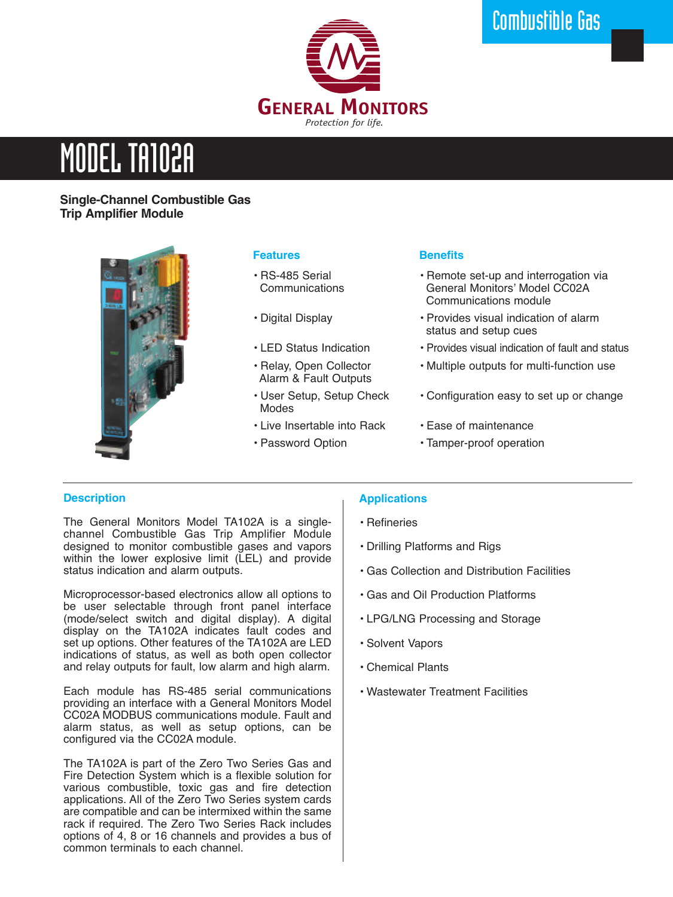

# MODEL TA102A

# **Single-Channel Combustible Gas Trip Amplifier Module**



# **Features**

- RS-485 Serial **Communications**
- Digital Display
- LED Status Indication
- Relay, Open Collector Alarm & Fault Outputs
- User Setup, Setup Check Modes
- Live Insertable into Rack
- Password Option

### **Benefits**

- Remote set-up and interrogation via General Monitors' Model CC02A Communications module
- Provides visual indication of alarm status and setup cues
- Provides visual indication of fault and status
- Multiple outputs for multi-function use
- Configuration easy to set up or change
- Ease of maintenance
- Tamper-proof operation

# **Description**

The General Monitors Model TA102A is a singlechannel Combustible Gas Trip Amplifier Module designed to monitor combustible gases and vapors within the lower explosive limit (LEL) and provide status indication and alarm outputs.

Microprocessor-based electronics allow all options to be user selectable through front panel interface (mode/select switch and digital display). A digital display on the TA102A indicates fault codes and set up options. Other features of the TA102A are LED indications of status, as well as both open collector and relay outputs for fault, low alarm and high alarm.

Each module has RS-485 serial communications providing an interface with a General Monitors Model CC02A MODBUS communications module. Fault and alarm status, as well as setup options, can be configured via the CC02A module.

The TA102A is part of the Zero Two Series Gas and Fire Detection System which is a flexible solution for various combustible, toxic gas and fire detection applications. All of the Zero Two Series system cards are compatible and can be intermixed within the same rack if required. The Zero Two Series Rack includes options of 4, 8 or 16 channels and provides a bus of common terminals to each channel.

# **Applications**

- Refineries
- Drilling Platforms and Rigs
- Gas Collection and Distribution Facilities
- Gas and Oil Production Platforms
- LPG/LNG Processing and Storage
- Solvent Vapors
- Chemical Plants
- Wastewater Treatment Facilities